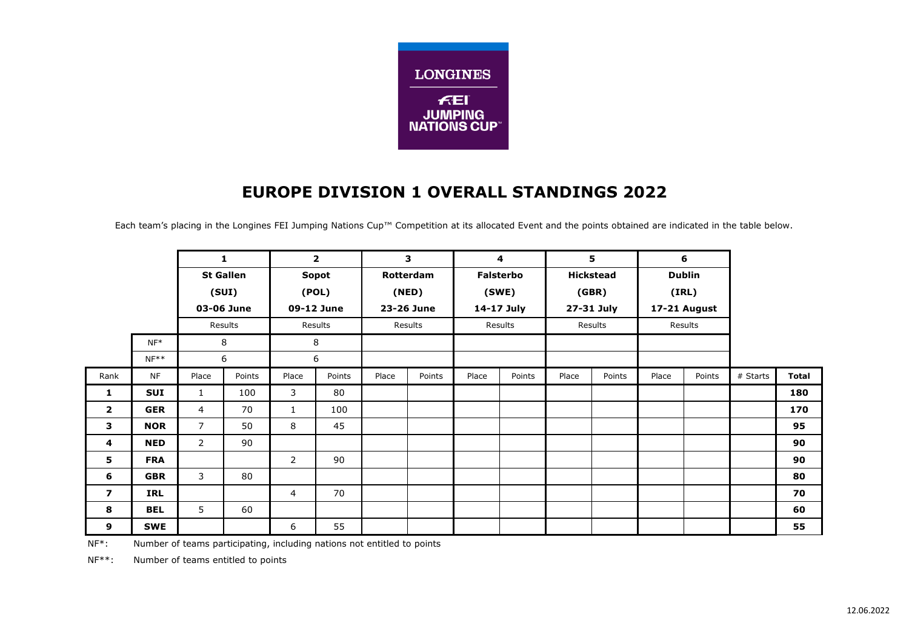

## **EUROPE DIVISION 1 OVERALL STANDINGS 2022**

Each team's placing in the Longines FEI Jumping Nations Cup™ Competition at its allocated Event and the points obtained are indicated in the table below.

|                |            | $\mathbf{1}$<br><b>St Gallen</b><br>(SUI)<br>03-06 June |        | $\overline{2}$<br><b>Sopot</b><br>(POL)<br>09-12 June |        | 3<br>Rotterdam<br>(RED)<br>23-26 June |         | $\overline{4}$<br><b>Falsterbo</b><br>(SWE)<br>14-17 July |         | 5<br><b>Hickstead</b><br>(GBR)<br>27-31 July |         | 6<br><b>Dublin</b><br>(IRL)<br>17-21 August |        |          |              |
|----------------|------------|---------------------------------------------------------|--------|-------------------------------------------------------|--------|---------------------------------------|---------|-----------------------------------------------------------|---------|----------------------------------------------|---------|---------------------------------------------|--------|----------|--------------|
|                |            |                                                         |        |                                                       |        |                                       |         |                                                           |         |                                              |         |                                             |        |          |              |
|                |            |                                                         |        |                                                       |        |                                       |         |                                                           |         |                                              |         |                                             |        |          |              |
|                |            |                                                         |        |                                                       |        |                                       |         |                                                           |         |                                              |         |                                             |        |          |              |
|                |            | Results                                                 |        | Results<br>Results                                    |        |                                       | Results |                                                           | Results |                                              | Results |                                             |        |          |              |
|                | $NF^*$     | 8                                                       |        |                                                       | 8      |                                       |         |                                                           |         |                                              |         |                                             |        |          |              |
|                | $NF**$     |                                                         | 6      |                                                       | 6      |                                       |         |                                                           |         |                                              |         |                                             |        |          |              |
| Rank           | <b>NF</b>  | Place                                                   | Points | Place                                                 | Points | Place                                 | Points  | Place                                                     | Points  | Place                                        | Points  | Place                                       | Points | # Starts | <b>Total</b> |
| 1              | <b>SUI</b> | $\mathbf{1}$                                            | 100    | 3                                                     | 80     |                                       |         |                                                           |         |                                              |         |                                             |        |          | 180          |
| $\overline{2}$ | <b>GER</b> | $\overline{4}$                                          | 70     | $\mathbf{1}$                                          | 100    |                                       |         |                                                           |         |                                              |         |                                             |        |          | 170          |
| 3              | <b>NOR</b> | $\overline{7}$                                          | 50     | 8                                                     | 45     |                                       |         |                                                           |         |                                              |         |                                             |        |          | 95           |
| 4              | <b>NED</b> | $\overline{2}$                                          | 90     |                                                       |        |                                       |         |                                                           |         |                                              |         |                                             |        |          | 90           |
| 5              | <b>FRA</b> |                                                         |        | $\overline{2}$                                        | 90     |                                       |         |                                                           |         |                                              |         |                                             |        |          | 90           |
| 6              | <b>GBR</b> | 3                                                       | 80     |                                                       |        |                                       |         |                                                           |         |                                              |         |                                             |        |          | 80           |
| $\overline{ }$ | <b>IRL</b> |                                                         |        | $\overline{4}$                                        | 70     |                                       |         |                                                           |         |                                              |         |                                             |        |          | 70           |
| 8              | <b>BEL</b> | 5                                                       | 60     |                                                       |        |                                       |         |                                                           |         |                                              |         |                                             |        |          | 60           |
| 9              | <b>SWE</b> |                                                         |        | 6                                                     | 55     |                                       |         |                                                           |         |                                              |         |                                             |        |          | 55           |

NF<sup>\*</sup>: Number of teams participating, including nations not entitled to points

NF\*\*: Number of teams entitled to points